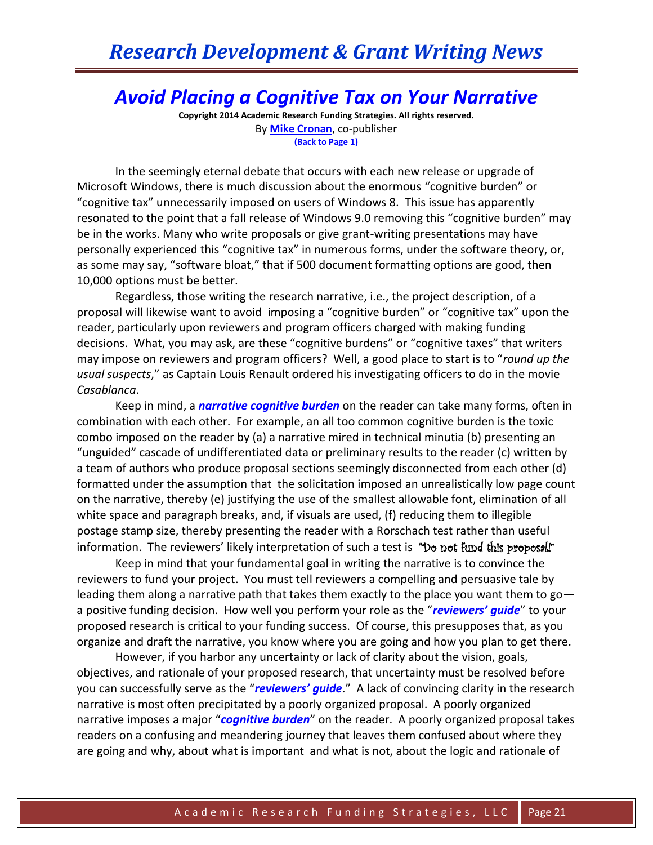## *Avoid Placing a Cognitive Tax on Your Narrative*

**Copyright 2014 Academic Research Funding Strategies. All rights reserved.** By **[Mike Cronan](mailto:mjcronan@gmail.com)**, co-publisher **(Back to Page 1)**

In the seemingly eternal debate that occurs with each new release or upgrade of Microsoft Windows, there is much discussion about the enormous "cognitive burden" or "cognitive tax" unnecessarily imposed on users of Windows 8. This issue has apparently resonated to the point that a fall release of Windows 9.0 removing this "cognitive burden" may be in the works. Many who write proposals or give grant-writing presentations may have personally experienced this "cognitive tax" in numerous forms, under the software theory, or, as some may say, "software bloat," that if 500 document formatting options are good, then 10,000 options must be better.

Regardless, those writing the research narrative, i.e., the project description, of a proposal will likewise want to avoid imposing a "cognitive burden" or "cognitive tax" upon the reader, particularly upon reviewers and program officers charged with making funding decisions. What, you may ask, are these "cognitive burdens" or "cognitive taxes" that writers may impose on reviewers and program officers? Well, a good place to start is to "*round up the usual suspects*," as Captain Louis Renault ordered his investigating officers to do in the movie *Casablanca*.

Keep in mind, a *narrative cognitive burden* on the reader can take many forms, often in combination with each other. For example, an all too common cognitive burden is the toxic combo imposed on the reader by (a) a narrative mired in technical minutia (b) presenting an "unguided" cascade of undifferentiated data or preliminary results to the reader (c) written by a team of authors who produce proposal sections seemingly disconnected from each other (d) formatted under the assumption that the solicitation imposed an unrealistically low page count on the narrative, thereby (e) justifying the use of the smallest allowable font, elimination of all white space and paragraph breaks, and, if visuals are used, (f) reducing them to illegible postage stamp size, thereby presenting the reader with a Rorschach test rather than useful information. The reviewers' likely interpretation of such a test is "Do not fund this proposall"

Keep in mind that your fundamental goal in writing the narrative is to convince the reviewers to fund your project. You must tell reviewers a compelling and persuasive tale by leading them along a narrative path that takes them exactly to the place you want them to go a positive funding decision. How well you perform your role as the "*reviewers' guide*" to your proposed research is critical to your funding success. Of course, this presupposes that, as you organize and draft the narrative, you know where you are going and how you plan to get there.

However, if you harbor any uncertainty or lack of clarity about the vision, goals, objectives, and rationale of your proposed research, that uncertainty must be resolved before you can successfully serve as the "*reviewers' guide*." A lack of convincing clarity in the research narrative is most often precipitated by a poorly organized proposal. A poorly organized narrative imposes a major "*cognitive burden*" on the reader. A poorly organized proposal takes readers on a confusing and meandering journey that leaves them confused about where they are going and why, about what is important and what is not, about the logic and rationale of